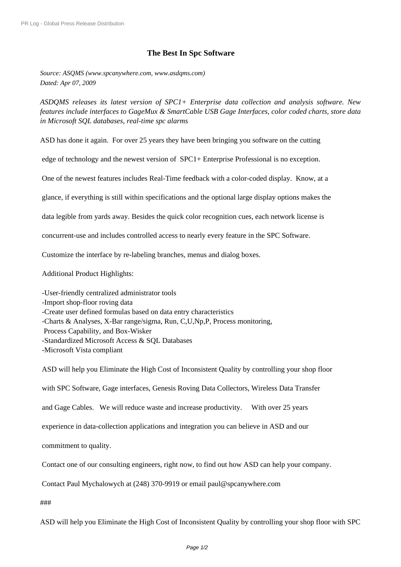## **The Best In Spc Software**

*Source: ASQMS (www.spcanywhere.com, www.asdqms.com) Dated: Apr 07, 2009*

*ASDQMS releases its latest version of SPC1+ Enterprise data collection and analysis software. New features include interfaces to GageMux & SmartCable USB Gage Interfaces, color coded charts, store data in Microsoft SQL databases, real-time spc alarms*

ASD has done it again. For over 25 years they have been bringing you software on the cutting

edge of technology and the newest version of SPC1+ Enterprise Professional is no exception.

One of the newest features includes Real-Time feedback with a color-coded display. Know, at a

glance, if everything is still within specifications and the optional large display options makes the

data legible from yards away. Besides the quick color recognition cues, each network license is

concurrent-use and includes controlled access to nearly every feature in the SPC Software.

Customize the interface by re-labeling branches, menus and dialog boxes.

Additional Product Highlights:

-User-friendly centralized administrator tools

- -Import shop-floor roving data
- -Create user defined formulas based on data entry characteristics
- -Charts & Analyses, X-Bar range/sigma, Run, C,U,Np,P, Process monitoring,
- Process Capability, and Box-Wisker
- -Standardized Microsoft Access & SQL Databases
- -Microsoft Vista compliant

 ASD will help you Eliminate the High Cost of Inconsistent Quality by controlling your shop floor with SPC Software, Gage interfaces, Genesis Roving Data Collectors, Wireless Data Transfer and Gage Cables. We will reduce waste and increase productivity. With over 25 years experience in data-collection applications and integration you can believe in ASD and our commitment to quality. Contact one of our consulting engineers, right now, to find out how ASD can help your company. Contact Paul Mychalowych at (248) 370-9919 or email paul@spcanywhere.com

###

ASD will help you Eliminate the High Cost of Inconsistent Quality by controlling your shop floor with SPC